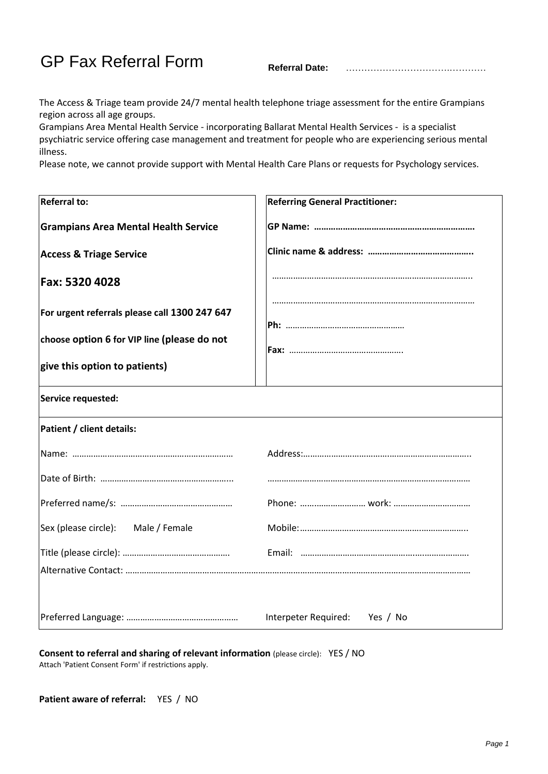GP Fax Referral Form **Referral Date:** …………………………….…………

The Access & Triage team provide 24/7 mental health telephone triage assessment for the entire Grampians region across all age groups.

Grampians Area Mental Health Service - incorporating Ballarat Mental Health Services - is a specialist psychiatric service offering case management and treatment for people who are experiencing serious mental illness.

Please note, we cannot provide support with Mental Health Care Plans or requests for Psychology services.

| <b>Referral to:</b>                           | <b>Referring General Practitioner:</b> |
|-----------------------------------------------|----------------------------------------|
| <b>Grampians Area Mental Health Service</b>   |                                        |
| <b>Access &amp; Triage Service</b>            |                                        |
| Fax: 5320 4028                                |                                        |
| For urgent referrals please call 1300 247 647 |                                        |
| choose option 6 for VIP line (please do not   |                                        |
| give this option to patients)                 |                                        |
| Service requested:                            |                                        |
| Patient / client details:                     |                                        |
|                                               |                                        |
|                                               |                                        |
|                                               |                                        |
| Sex (please circle):<br>Male / Female         |                                        |
|                                               |                                        |
|                                               |                                        |
|                                               |                                        |
|                                               | Interpeter Required:<br>Yes / No       |

**Consent to referral and sharing of relevant information** (please circle): YES / NO Attach 'Patient Consent Form' if restrictions apply.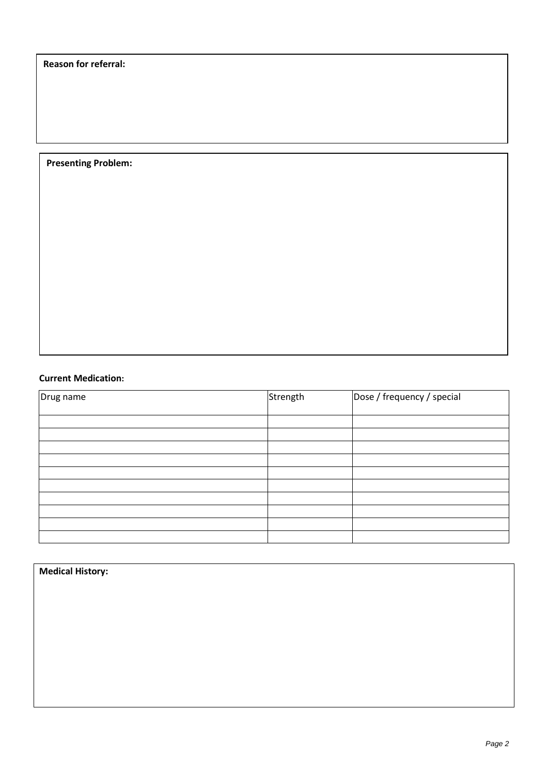**Reason for referral:**

## **Presenting Problem:**

## **Current Medication:**

| Drug name | Strength | Dose / frequency / special |
|-----------|----------|----------------------------|
|           |          |                            |
|           |          |                            |
|           |          |                            |
|           |          |                            |
|           |          |                            |
|           |          |                            |
|           |          |                            |
|           |          |                            |
|           |          |                            |

## **Medical History:**